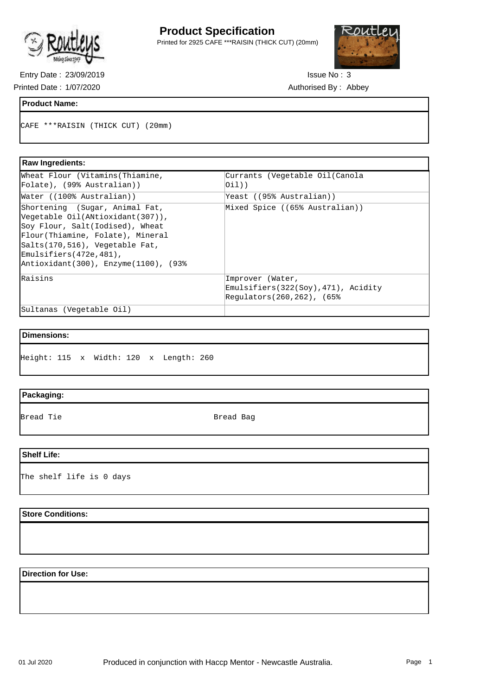

## **Product Specification**

Printed for 2925 CAFE \*\*\*RAISIN (THICK CUT) (20mm)



Entry Date : 23/09/2019 Issue No : 3 Printed Date: 1/07/2020 <br>
Authorised By: Abbey

#### **Product Name:**

CAFE \*\*\*RAISIN (THICK CUT) (20mm)

#### **Raw Ingredients:**  Wheat Flour (Vitamins(Thiamine, Folate), (99% Australian)) Currants (Vegetable Oil(Canola  $(i)$ ) Water ((100% Australian)) Yeast ((95% Australian)) Shortening (Sugar, Animal Fat, Vegetable Oil(ANtioxidant(307)), Soy Flour, Salt(Iodised), Wheat Flour(Thiamine, Folate), Mineral Salts(170,516), Vegetable Fat, Emulsifiers(472e,481), Antioxidant(300), Enzyme(1100), (93% Mixed Spice ((65% Australian)) Raisins **Improver** (Water, Emulsifiers(322(Soy),471), Acidity Regulators(260,262), (65% Sultanas (Vegetable Oil)

## **Dimensions:**

Height: 115 x Width: 120 x Length: 260

## **Packaging:**

Bread Tie **Bread Bag** 

#### **Shelf Life:**

The shelf life is 0 days

#### **Store Conditions:**

## **Direction for Use:**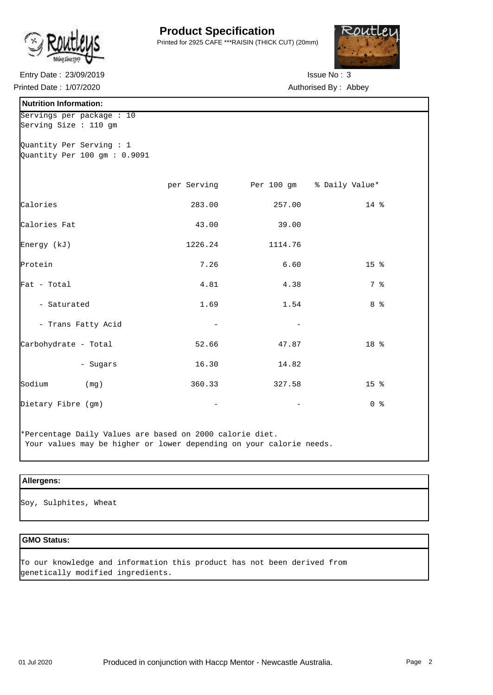

# **Product Specification**

Printed for 2925 CAFE \*\*\*RAISIN (THICK CUT) (20mm)



Entry Date : 23/09/2019 **ISSUE NO : 3** Printed Date: 1/07/2020 <br>
Authorised By: Abbey

| <b>Nutrition Information:</b>                              |                          |                                       |                 |
|------------------------------------------------------------|--------------------------|---------------------------------------|-----------------|
| Servings per package : 10<br>Serving Size : 110 gm         |                          |                                       |                 |
| Quantity Per Serving : 1<br>Quantity Per 100 gm : $0.9091$ |                          |                                       |                 |
|                                                            |                          | per Serving Per 100 gm % Daily Value* |                 |
| Calories                                                   | 283.00                   | 257.00                                | 14 %            |
| Calories Fat                                               | 43.00                    | 39.00                                 |                 |
| Energy (kJ)                                                | 1226.24                  | 1114.76                               |                 |
| Protein                                                    | 7.26                     | 6.60                                  | 15 <sub>8</sub> |
| Fat - Total                                                | 4.81                     | 4.38                                  | 7 %             |
| - Saturated                                                | 1.69                     | 1.54                                  | 8 %             |
| - Trans Fatty Acid                                         | $\overline{\phantom{a}}$ |                                       |                 |
| Carbohydrate - Total                                       | 52.66                    | 47.87                                 | 18 %            |
| - Sugars                                                   | 16.30                    | 14.82                                 |                 |
| Sodium<br>(mq)                                             | 360.33                   | 327.58                                | 15 <sup>8</sup> |
| Dietary Fibre (gm)                                         |                          |                                       | 0 <sup>8</sup>  |
|                                                            |                          |                                       |                 |

\*Percentage Daily Values are based on 2000 calorie diet. Your values may be higher or lower depending on your calorie needs.

## **Allergens:**

Soy, Sulphites, Wheat

## **GMO Status:**

To our knowledge and information this product has not been derived from genetically modified ingredients.